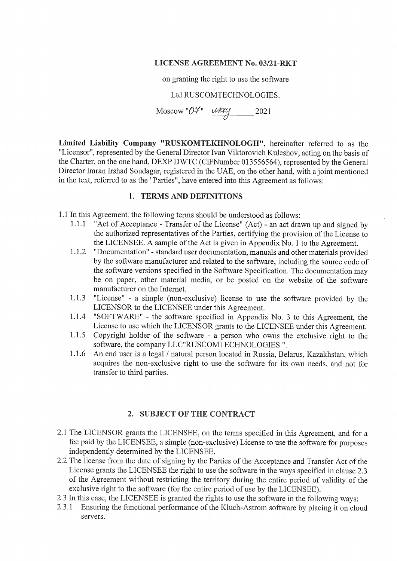# **LICENSE AGREEMENT No. 03/21-RKT**

on granting the right to use the software

# Ltd RUSCOMTECHNOLOGIES.

Moscow " $OH$ "  $UUU$  2021

Limited Liability Company "RUSKOMTEKHNOLOGII", hereinafter referred to as the "Licensor", represented by the General Director Ivan Viktorovich Kuleshov, acting on the basis of the Charter, on the one hand, DEXP DWTC (CiFNumber 013556564), represented by the General Director Imran Irshad Soudagar, registered in the UAE, on the other hand, with a joint mentioned in the text, referred to as the "Parties", have entered into this Agreement as follows:

# 1. TERMS AND DEFINITIONS

1.1 In this Agreement, the following terms should be understood as follows:

- "Act of Acceptance Transfer of the License" (Act) an act drawn up and signed by  $1.1.1$ the authorized representatives of the Parties, certifying the provision of the License to the LICENSEE. A sample of the Act is given in Appendix No. 1 to the Agreement.
- $1.1.2$ "Documentation" - standard user documentation, manuals and other materials provided by the software manufacturer and related to the software, including the source code of the software versions specified in the Software Specification. The documentation may be on paper, other material media, or be posted on the website of the software manufacturer on the Internet.
- "License" a simple (non-exclusive) license to use the software provided by the  $1.1.3$ LICENSOR to the LICENSEE under this Agreement.
- 1.1.4 "SOFTWARE" the software specified in Appendix No. 3 to this Agreement, the License to use which the LICENSOR grants to the LICENSEE under this Agreement.
- 1.1.5 Copyright holder of the software a person who owns the exclusive right to the software, the company LLC"RUSCOMTECHNOLOGIES".
- $1.1.6$ An end user is a legal / natural person located in Russia, Belarus, Kazakhstan, which acquires the non-exclusive right to use the software for its own needs, and not for transfer to third parties.

# 2. SUBJECT OF THE CONTRACT

- 2.1 The LICENSOR grants the LICENSEE, on the terms specified in this Agreement, and for a fee paid by the LICENSEE, a simple (non-exclusive) License to use the software for purposes independently determined by the LICENSEE.
- 2.2 The license from the date of signing by the Parties of the Acceptance and Transfer Act of the License grants the LICENSEE the right to use the software in the ways specified in clause 2.3 of the Agreement without restricting the territory during the entire period of validity of the exclusive right to the software (for the entire period of use by the LICENSEE).
- 2.3 In this case, the LICENSEE is granted the rights to use the software in the following ways:
- Ensuring the functional performance of the Kluch-Astrom software by placing it on cloud  $2.3.1$ servers.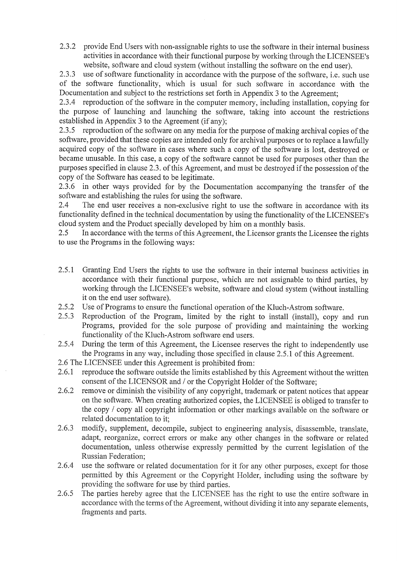$2.3.2$ provide End Users with non-assignable rights to use the software in their internal business activities in accordance with their functional purpose by working through the LICENSEE's website, software and cloud system (without installing the software on the end user).

 $2.3.3$ use of software functionality in accordance with the purpose of the software, i.e. such use of the software functionality, which is usual for such software in accordance with the Documentation and subject to the restrictions set forth in Appendix 3 to the Agreement:

2.3.4 reproduction of the software in the computer memory, including installation, copying for the purpose of launching and launching the software, taking into account the restrictions established in Appendix 3 to the Agreement (if any);

2.3.5 reproduction of the software on any media for the purpose of making archival copies of the software, provided that these copies are intended only for archival purposes or to replace a lawfully acquired copy of the software in cases where such a copy of the software is lost, destroved or became unusable. In this case, a copy of the software cannot be used for purposes other than the purposes specified in clause 2.3, of this Agreement, and must be destroved if the possession of the copy of the Software has ceased to be legitimate.

2.3.6 in other ways provided for by the Documentation accompanying the transfer of the software and establishing the rules for using the software.

 $2.4$ The end user receives a non-exclusive right to use the software in accordance with its functionality defined in the technical documentation by using the functionality of the LICENSEE's cloud system and the Product specially developed by him on a monthly basis.

 $2.5$ In accordance with the terms of this Agreement, the Licensor grants the Licensee the rights to use the Programs in the following ways:

- 2.5.1 Granting End Users the rights to use the software in their internal business activities in accordance with their functional purpose, which are not assignable to third parties, by working through the LICENSEE's website, software and cloud system (without installing it on the end user software).
- $2.5.2$ Use of Programs to ensure the functional operation of the Kluch-Astrom software.
- $2.5.3$ Reproduction of the Program, limited by the right to install (install), copy and run Programs, provided for the sole purpose of providing and maintaining the working functionality of the Kluch-Astrom software end users.
- 2.5.4 During the term of this Agreement, the Licensee reserves the right to independently use the Programs in any way, including those specified in clause 2.5.1 of this Agreement.
- 2.6 The LICENSEE under this Agreement is prohibited from:
- reproduce the software outside the limits established by this Agreement without the written 2.6.1 consent of the LICENSOR and / or the Copyright Holder of the Software;
- remove or diminish the visibility of any copyright, trademark or patent notices that appear 2.6.2 on the software. When creating authorized copies, the LICENSEE is obliged to transfer to the copy / copy all copyright information or other markings available on the software or related documentation to it:
- modify, supplement, decompile, subject to engineering analysis, disassemble, translate, 2.6.3 adapt, reorganize, correct errors or make any other changes in the software or related documentation, unless otherwise expressly permitted by the current legislation of the Russian Federation:
- 2.6.4 use the software or related documentation for it for any other purposes, except for those permitted by this Agreement or the Copyright Holder, including using the software by providing the software for use by third parties.
- The parties hereby agree that the LICENSEE has the right to use the entire software in  $2.6.5$ accordance with the terms of the Agreement, without dividing it into any separate elements, fragments and parts.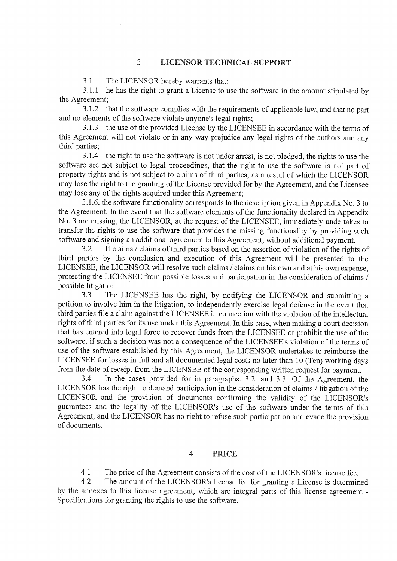#### **LICENSOR TECHNICAL SUPPORT**  $\overline{3}$

 $3.1$ The LICENSOR hereby warrants that:

he has the right to grant a License to use the software in the amount stipulated by  $3.1.1$ the Agreement;

3.1.2 that the software complies with the requirements of applicable law, and that no part and no elements of the software violate anyone's legal rights;

 $3.1.3$ the use of the provided License by the LICENSEE in accordance with the terms of this Agreement will not violate or in any way prejudice any legal rights of the authors and any third parties;

 $3.1.4$ the right to use the software is not under arrest, is not pledged, the rights to use the software are not subject to legal proceedings, that the right to use the software is not part of property rights and is not subject to claims of third parties, as a result of which the LICENSOR may lose the right to the granting of the License provided for by the Agreement, and the Licensee may lose any of the rights acquired under this Agreement;

3.1.6. the software functionality corresponds to the description given in Appendix No. 3 to the Agreement. In the event that the software elements of the functionality declared in Appendix No. 3 are missing, the LICENSOR, at the request of the LICENSEE, immediately undertakes to transfer the rights to use the software that provides the missing functionality by providing such software and signing an additional agreement to this Agreement, without additional payment.

If claims / claims of third parties based on the assertion of violation of the rights of  $3.2$ third parties by the conclusion and execution of this Agreement will be presented to the LICENSEE, the LICENSOR will resolve such claims / claims on his own and at his own expense, protecting the LICENSEE from possible losses and participation in the consideration of claims / possible litigation

 $3.3$ The LICENSEE has the right, by notifying the LICENSOR and submitting a petition to involve him in the litigation, to independently exercise legal defense in the event that third parties file a claim against the LICENSEE in connection with the violation of the intellectual rights of third parties for its use under this Agreement. In this case, when making a court decision that has entered into legal force to recover funds from the LICENSEE or prohibit the use of the software, if such a decision was not a consequence of the LICENSEE's violation of the terms of use of the software established by this Agreement, the LICENSOR undertakes to reimburse the LICENSEE for losses in full and all documented legal costs no later than 10 (Ten) working days from the date of receipt from the LICENSEE of the corresponding written request for payment.

3.4 In the cases provided for in paragraphs. 3.2. and 3.3. Of the Agreement, the LICENSOR has the right to demand participation in the consideration of claims / litigation of the LICENSOR and the provision of documents confirming the validity of the LICENSOR's guarantees and the legality of the LICENSOR's use of the software under the terms of this Agreement, and the LICENSOR has no right to refuse such participation and evade the provision of documents.

#### $\overline{4}$ **PRICE**

 $4.1$ The price of the Agreement consists of the cost of the LICENSOR's license fee.

 $4.2$ The amount of the LICENSOR's license fee for granting a License is determined by the annexes to this license agreement, which are integral parts of this license agreement -Specifications for granting the rights to use the software.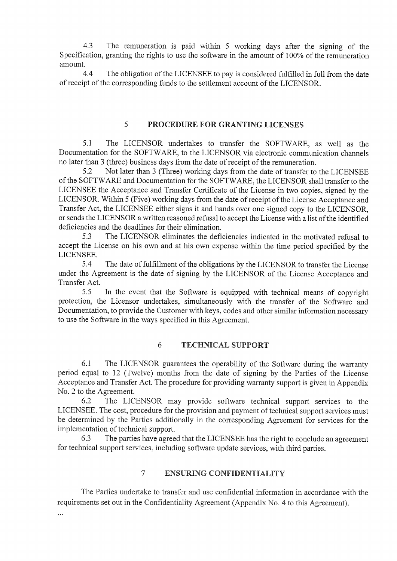$4.3$ The remuneration is paid within 5 working days after the signing of the Specification, granting the rights to use the software in the amount of 100% of the remuneration amount.

The obligation of the LICENSEE to pay is considered fulfilled in full from the date of receipt of the corresponding funds to the settlement account of the LICENSOR.

#### $\mathcal{F}$ PROCEDURE FOR GRANTING LICENSES

 $5.1$ The LICENSOR undertakes to transfer the SOFTWARE, as well as the Documentation for the SOFTWARE, to the LICENSOR via electronic communication channels no later than 3 (three) business days from the date of receipt of the remuneration.

Not later than 3 (Three) working days from the date of transfer to the LICENSEE 5.2 of the SOFTWARE and Documentation for the SOFTWARE, the LICENSOR shall transfer to the LICENSEE the Acceptance and Transfer Certificate of the License in two copies, signed by the LICENSOR. Within 5 (Five) working days from the date of receipt of the License Acceptance and Transfer Act, the LICENSEE either signs it and hands over one signed copy to the LICENSOR, or sends the LICENSOR a written reasoned refusal to accept the License with a list of the identified deficiencies and the deadlines for their elimination.

The LICENSOR eliminates the deficiencies indicated in the motivated refusal to 5.3 accept the License on his own and at his own expense within the time period specified by the LICENSEE.

5.4 The date of fulfillment of the obligations by the LICENSOR to transfer the License under the Agreement is the date of signing by the LICENSOR of the License Acceptance and Transfer Act.

5.5 In the event that the Software is equipped with technical means of copyright protection, the Licensor undertakes, simultaneously with the transfer of the Software and Documentation, to provide the Customer with keys, codes and other similar information necessary to use the Software in the ways specified in this Agreement.

#### 6 **TECHNICAL SUPPORT**

6.1 The LICENSOR guarantees the operability of the Software during the warranty period equal to 12 (Twelve) months from the date of signing by the Parties of the License Acceptance and Transfer Act. The procedure for providing warranty support is given in Appendix No. 2 to the Agreement.

6.2 The LICENSOR may provide software technical support services to the LICENSEE. The cost, procedure for the provision and payment of technical support services must be determined by the Parties additionally in the corresponding Agreement for services for the implementation of technical support.

6.3 The parties have agreed that the LICENSEE has the right to conclude an agreement for technical support services, including software update services, with third parties.

#### $\overline{7}$ **ENSURING CONFIDENTIALITY**

The Parties undertake to transfer and use confidential information in accordance with the requirements set out in the Confidentiality Agreement (Appendix No. 4 to this Agreement).

 $\ddotsc$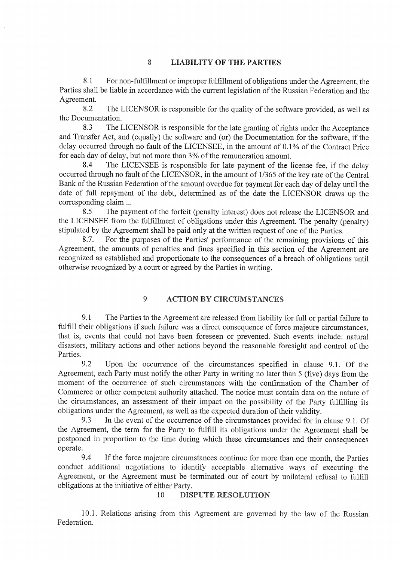#### 8 **LIABILITY OF THE PARTIES**

8.1 For non-fulfillment or improper fulfillment of obligations under the Agreement, the Parties shall be liable in accordance with the current legislation of the Russian Federation and the Agreement.

8.2 The LICENSOR is responsible for the quality of the software provided, as well as the Documentation.

8.3 The LICENSOR is responsible for the late granting of rights under the Acceptance and Transfer Act, and (equally) the software and (or) the Documentation for the software, if the delay occurred through no fault of the LICENSEE, in the amount of 0.1% of the Contract Price for each day of delay, but not more than 3% of the remuneration amount.

8.4 The LICENSEE is responsible for late payment of the license fee, if the delay occurred through no fault of the LICENSOR, in the amount of 1/365 of the key rate of the Central Bank of the Russian Federation of the amount overdue for payment for each day of delay until the date of full repayment of the debt, determined as of the date the LICENSOR draws up the corresponding claim ...

8.5 The payment of the forfeit (penalty interest) does not release the LICENSOR and the LICENSEE from the fulfillment of obligations under this Agreement. The penalty (penalty) stipulated by the Agreement shall be paid only at the written request of one of the Parties.

8.7. For the purposes of the Parties' performance of the remaining provisions of this Agreement, the amounts of penalties and fines specified in this section of the Agreement are recognized as established and proportionate to the consequences of a breach of obligations until otherwise recognized by a court or agreed by the Parties in writing.

#### 9 **ACTION BY CIRCUMSTANCES**

9.1 The Parties to the Agreement are released from liability for full or partial failure to fulfill their obligations if such failure was a direct consequence of force majeure circumstances, that is, events that could not have been foreseen or prevented. Such events include: natural disasters, military actions and other actions beyond the reasonable foresight and control of the Parties.

9.2 Upon the occurrence of the circumstances specified in clause 9.1. Of the Agreement, each Party must notify the other Party in writing no later than 5 (five) days from the moment of the occurrence of such circumstances with the confirmation of the Chamber of Commerce or other competent authority attached. The notice must contain data on the nature of the circumstances, an assessment of their impact on the possibility of the Party fulfilling its obligations under the Agreement, as well as the expected duration of their validity.

9.3 In the event of the occurrence of the circumstances provided for in clause 9.1. Of the Agreement, the term for the Party to fulfill its obligations under the Agreement shall be postponed in proportion to the time during which these circumstances and their consequences operate.

9.4 If the force majeure circumstances continue for more than one month, the Parties conduct additional negotiations to identify acceptable alternative ways of executing the Agreement, or the Agreement must be terminated out of court by unilateral refusal to fulfill obligations at the initiative of either Party.

#### 10 **DISPUTE RESOLUTION**

10.1. Relations arising from this Agreement are governed by the law of the Russian Federation.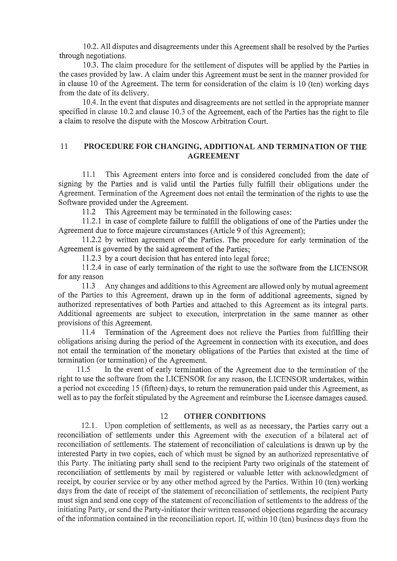10.2. All disputes and disagreements under this Agreement shall be resolved by the Parties through negotiations.

10.3. The claim procedure for the settlement of disputes will be applied by the Parties in the cases provided by law. A claim under this Agreement must be sent in the manner provided for in clause 10 of the Agreement. The term for consideration of the claim is 10 (ten) working days from the date of its delivery.

10.4. In the event that disputes and disagreements are not settled in the appropriate manner specified in clause 10.2 and clause 10.3 of the Agreement, each of the Parties has the right to file a claim to resolve the dispute with the Moscow Arbitration Court.

### $11$ PROCEDURE FOR CHANGING, ADDITIONAL AND TERMINATION OF THE **AGREEMENT**

This Agreement enters into force and is considered concluded from the date of  $11.1$ signing by the Parties and is valid until the Parties fully fulfill their obligations under the Agreement. Termination of the Agreement does not entail the termination of the rights to use the Software provided under the Agreement.

This Agreement may be terminated in the following cases:  $11.2$ 

11.2.1 in case of complete failure to fulfill the obligations of one of the Parties under the Agreement due to force majeure circumstances (Article 9 of this Agreement);

11.2.2 by written agreement of the Parties. The procedure for early termination of the Agreement is governed by the said agreement of the Parties;

11.2.3 by a court decision that has entered into legal force;

11.2.4 in case of early termination of the right to use the software from the LICENSOR for any reason

Any changes and additions to this Agreement are allowed only by mutual agreement 11.3 of the Parties to this Agreement, drawn up in the form of additional agreements, signed by authorized representatives of both Parties and attached to this Agreement as its integral parts. Additional agreements are subject to execution, interpretation in the same manner as other provisions of this Agreement.

11.4 Termination of the Agreement does not relieve the Parties from fulfilling their obligations arising during the period of the Agreement in connection with its execution, and does not entail the termination of the monetary obligations of the Parties that existed at the time of termination (or termination) of the Agreement.

In the event of early termination of the Agreement due to the termination of the 11.5 right to use the software from the LICENSOR for any reason, the LICENSOR undertakes, within a period not exceeding 15 (fifteen) days, to return the remuneration paid under this Agreement, as well as to pay the forfeit stipulated by the Agreement and reimburse the Licensee damages caused.

#### **OTHER CONDITIONS** 12

12.1. Upon completion of settlements, as well as as necessary, the Parties carry out a reconciliation of settlements under this Agreement with the execution of a bilateral act of reconciliation of settlements. The statement of reconciliation of calculations is drawn up by the interested Party in two copies, each of which must be signed by an authorized representative of this Party. The initiating party shall send to the recipient Party two originals of the statement of reconciliation of settlements by mail by registered or valuable letter with acknowledgment of receipt, by courier service or by any other method agreed by the Parties. Within 10 (ten) working days from the date of receipt of the statement of reconciliation of settlements, the recipient Party must sign and send one copy of the statement of reconciliation of settlements to the address of the initiating Party, or send the Party-initiator their written reasoned objections regarding the accuracy of the information contained in the reconciliation report. If, within 10 (ten) business days from the